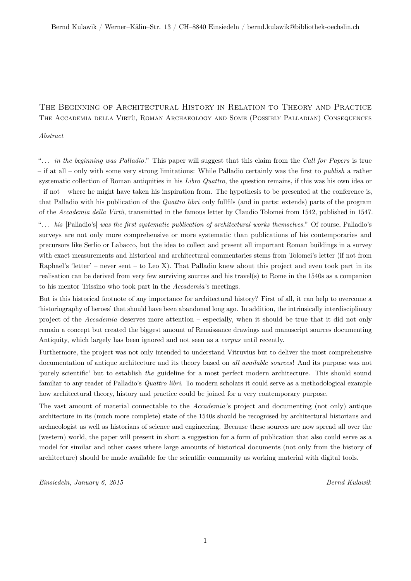## The Beginning of Architectural History in Relation to Theory and Practice The Accademia della Virtù, Roman Archaeology and Some (Possibly Palladian) Consequences

## *Abstract*

"... *in the beginning was Palladio.*" This paper will suggest that this claim from the *Call for Papers* is true – if at all – only with some very strong limitations: While Palladio certainly was the first to *publish* a rather systematic collection of Roman antiquities in his *Libro Quattro*, the question remains, if this was his own idea or – if not – where he might have taken his inspiration from. The hypothesis to be presented at the conference is, that Palladio with his publication of the *Quattro libri* only fullfils (and in parts: extends) parts of the program of the *Accademia della Virtù*, transmitted in the famous letter by Claudio Tolomei from 1542, published in 1547. "*. . . his* [Palladio's] *was the first systematic publication of architectural works themselves.*" Of course, Palladio's surveys are not only more comprehensive or more systematic than publications of his contemporaries and precursors like Serlio or Labacco, but the idea to collect and present all important Roman buildings in a survey with exact measurements and historical and architectural commentaries stems from Tolomei's letter (if not from Raphael's 'letter' – never sent – to Leo X). That Palladio knew about this project and even took part in its realisation can be derived from very few surviving sources and his travel(s) to Rome in the 1540s as a companion to his mentor Trissino who took part in the *Accademia*'s meetings.

But is this historical footnote of any importance for architectural history? First of all, it can help to overcome a 'historiography of heroes' that should have been abandoned long ago. In addition, the intrinsically interdisciplinary project of the *Accademia* deserves more attention – especially, when it should be true that it did not only remain a concept but created the biggest amount of Renaissance drawings and manuscript sources documenting Antiquity, which largely has been ignored and not seen as a *corpus* until recently.

Furthermore, the project was not only intended to understand Vitruvius but to deliver the most comprehensive documentation of antique architecture and its theory based on *all available sources*! And its purpose was not 'purely scientific' but to establish *the* guideline for a most perfect modern architecture. This should sound familiar to any reader of Palladio's *Quattro libri*. To modern scholars it could serve as a methodological example how architectural theory, history and practice could be joined for a very contemporary purpose.

The vast amount of material connectable to the *Accademia'*s project and documenting (not only) antique architecture in its (much more complete) state of the 1540s should be recognised by architectural historians and archaeologist as well as historians of science and engineering. Because these sources are now spread all over the (western) world, the paper will present in short a suggestion for a form of publication that also could serve as a model for similar and other cases where large amounts of historical documents (not only from the history of architecture) should be made available for the scientific community as working material with digital tools.

*Einsiedeln, January 6, 2015 Bernd Kulawik*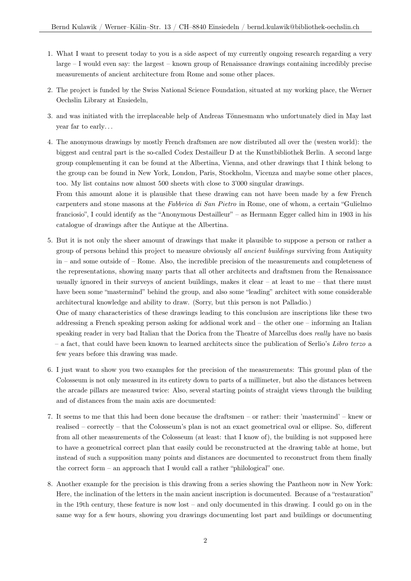- 1. What I want to present today to you is a side aspect of my currently ongoing research regarding a very large – I would even say: the largest – known group of Renaissance drawings containing incredibly precise measurements of ancient architecture from Rome and some other places.
- 2. The project is funded by the Swiss National Science Foundation, situated at my working place, the Werner Oechslin Library at Ensiedeln,
- 3. and was initiated with the irreplaceable help of Andreas Tönnesmann who unfortunately died in May last year far to early. . .
- 4. The anonymous drawings by mostly French draftsmen are now distributed all over the (westen world): the biggest and central part is the so-called Codex Destailleur D at the Kunstbibliothek Berlin. A second large group complementing it can be found at the Albertina, Vienna, and other drawings that I think belong to the group can be found in New York, London, Paris, Stockholm, Vicenza and maybe some other places, too. My list contains now almost 500 sheets with close to 3'000 singular drawings.

From this amount alone it is plausible that these drawing can not have been made by a few French carpenters and stone masons at the *Fabbrica di San Pietro* in Rome, one of whom, a certain "Gulielmo franciosio", I could identify as the "Anonymous Destailleur" – as Hermann Egger called him in 1903 in his catalogue of drawings after the Antique at the Albertina.

5. But it is not only the sheer amount of drawings that make it plausible to suppose a person or rather a group of persons behind this project to measure obviously *all ancient buildings* surviving from Antiquity in – and some outside of – Rome. Also, the incredible precision of the measurements and completeness of the representations, showing many parts that all other architects and draftsmen from the Renaissance usually ignored in their surveys of ancient buildings, makes it clear – at least to me – that there must have been some "mastermind" behind the group, and also some "leading" architect with some considerable architectural knowledge and ability to draw. (Sorry, but this person is not Palladio.) One of many characteristics of these drawings leading to this conclusion are inscriptions like these two

addressing a French speaking person asking for addional work and – the other one – informing an Italian speaking reader in very bad Italian that the Dorica from the Theatre of Marcellus does *really* have no basis – a fact, that could have been known to learned architects since the publication of Serlio's *Libro terzo* a few years before this drawing was made.

- 6. I just want to show you two examples for the precision of the measurements: This ground plan of the Colosseum is not only measured in its entirety down to parts of a millimeter, but also the distances between the arcade pillars are measured twice: Also, several starting points of straight views through the building and of distances from the main axis are documented:
- 7. It seems to me that this had been done because the draftsmen or rather: their 'mastermind' knew or realised – correctly – that the Colosseum's plan is not an exact geometrical oval or ellipse. So, different from all other measurements of the Colosseum (at least: that I know of), the building is not supposed here to have a geometrical correct plan that easily could be reconstructed at the drawing table at home, but instead of such a supposition many points and distances are documented to reconstruct from them finally the correct form – an approach that I would call a rather "philological" one.
- 8. Another example for the precision is this drawing from a series showing the Pantheon now in New York: Here, the inclination of the letters in the main ancient inscription is documented. Because of a "restauration" in the 19th century, these feature is now lost – and only documented in this drawing. I could go on in the same way for a few hours, showing you drawings documenting lost part and buildings or documenting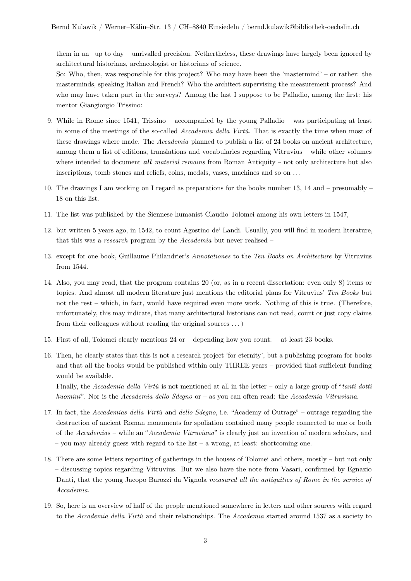them in an –up to day – unrivalled precision. Nethertheless, these drawings have largely been ignored by architectural historians, archaeologist or historians of science.

So: Who, then, was responsible for this project? Who may have been the 'mastermind' – or rather: the masterminds, speaking Italian and French? Who the architect supervising the measurement process? And who may have taken part in the surveys? Among the last I suppose to be Palladio, among the first: his mentor Giangiorgio Trissino:

- 9. While in Rome since 1541, Trissino accompanied by the young Palladio was participating at least in some of the meetings of the so-called *Accademia della Virtù*. That is exactly the time when most of these drawings where made. The *Accademia* planned to publish a list of 24 books on ancient architecture, among them a list of editions, translations and vocabularies regarding Vitruvius – while other volumes where intended to document *all material remains* from Roman Antiquity – not only architecture but also inscriptions, tomb stones and reliefs, coins, medals, vases, machines and so on . . .
- 10. The drawings I am working on I regard as preparations for the books number 13, 14 and presumably 18 on this list.
- 11. The list was published by the Siennese humanist Claudio Tolomei among his own letters in 1547,
- 12. but written 5 years ago, in 1542, to count Agostino de' Landi. Usually, you will find in modern literature, that this was a *research* program by the *Accademia* but never realised –
- 13. except for one book, Guillaume Philandrier's *Annotationes* to the *Ten Books on Architecture* by Vitruvius from 1544.
- 14. Also, you may read, that the program contains 20 (or, as in a recent dissertation: even only 8) items or topics. And almost all modern literature just mentions the editorial plans for Vitruvius' *Ten Books* but not the rest – which, in fact, would have required even more work. Nothing of this is true. (Therefore, unfortunately, this may indicate, that many architectural historians can not read, count or just copy claims from their colleagues without reading the original sources . . . )
- 15. First of all, Tolomei clearly mentions 24 or depending how you count: at least 23 books.
- 16. Then, he clearly states that this is not a research project 'for eternity', but a publishing program for books and that all the books would be published within only THREE years – provided that sufficient funding would be available.

Finally, the *Accademia della Virtù* is not mentioned at all in the letter – only a large group of "*tanti dotti huomini*". Nor is the *Accademia dello Sdegno* or – as you can often read: the *Accademia Vitruviana*.

- 17. In fact, the *Accademias della Virtù* and *dello Sdegno*, i.e. "Academy of Outrage" outrage regarding the destruction of ancient Roman monuments for spoliation contained many people connected to one or both of the *Accademia*s – while an "*Accademia Vitruviana*" is clearly just an invention of modern scholars, and  $-$  you may already guess with regard to the list  $-$  a wrong, at least: shortcoming one.
- 18. There are some letters reporting of gatherings in the houses of Tolomei and others, mostly but not only – discussing topics regarding Vitruvius. But we also have the note from Vasari, confirmed by Egnazio Danti, that the young Jacopo Barozzi da Vignola *measured all the antiquities of Rome in the service of Accademia*.
- 19. So, here is an overview of half of the people memtioned somewhere in letters and other sources with regard to the *Accademia della Virtù* and their relationships. The *Accademia* started around 1537 as a society to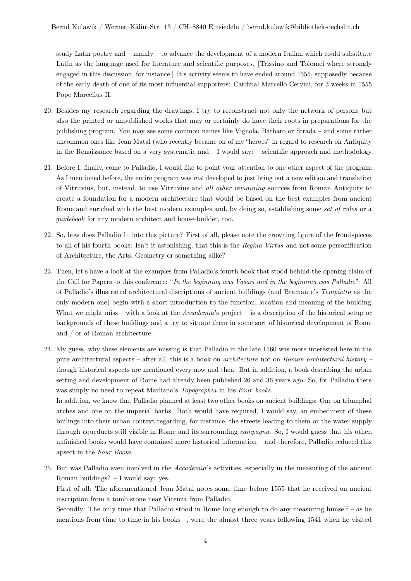study Latin poetry and – mainly – to advance the development of a modern Italian which could substitute Latin as the language used for literature and scientific purposes. [Trissino and Tolomei where strongly engaged in this discussion, for instance.] It's activity seems to have ended around 1555, supposedly because of the early death of one of its most influential supporters: Cardinal Marcello Cervini, for 3 weeks in 1555 Pope Marcellus II.

- 20. Besides my research regarding the drawings, I try to reconstruct not only the network of persons but also the printed or unpublished works that may or certainly do have their roots in preparations for the publishing program. You may see some common names like Vignola, Barbaro or Strada – and some rather uncommon ones like Jean Matal (who recently became on of my "heroes" in regard to research on Antiquity in the Renaissance based on a very systematic and  $-I$  would say:  $-$  scientific approach and methodology.
- 21. Before I, finally, come to Palladio, I would like to point your attention to one other aspect of the program: As I mentioned before, the entire program was *not* developed to just bring out a new edition and translation of Vitruvius, but, instead, to use Vitruvius and *all other remaining* sources from Roman Antiquity to create a foundation for a modern architecture that would be based on the best examples from ancient Rome and enriched with the best modern examples and, by doing so, establishing some *set of rules* or a *guidebook* for any modern architect and house-builder, too.
- 22. So, how does Palladio fit into this picture? First of all, please note the crowning figure of the frontispieces to all of his fourth books: Isn't it astonishing, that this is the *Regina Virtus* and not some personification of Architecture, the Arts, Geometry or something alike?
- 23. Then, let's have a look at the examples from Palladio's fourth book that stood behind the opening claim of the Call for Papers to this conference: "*In the beginning was Vasari and in the beginning was Palladio*": All of Palladio's illustrated architectural discriptions of ancient buildings (and Bramante's *Tempietto* as the only modern one) begin with a short introduction to the function, location and meaning of the building. What we might miss – with a look at the *Accademia*'s project – is a description of the historical setup or backgrounds of these buildings and a try to situate them in some sort of historical development of Rome and / or of Roman architecture.
- 24. My guess, why these elements are missing is that Palladio in the late 1560 was more interested here in the pure architectural aspects – after all, this is a book on *architecture* not on *Roman architectural history* – though historical aspects are mentioned every now and then. But in addition, a book describing the urban setting and development of Rome had already been published 26 and 36 years ago. So, for Palladio there was simply no need to repeat Marliano's *Topographia* in his *Four books.*

In addition, we know that Palladio planned at least two other books on ancient buildings: One on triumphal arches and one on the imperial baths. Both would have required, I would say, an embedment of these builings into their urban context regarding, for instance, the streets leading to them or the water supply through aqueducts still visible in Rome and its surrounding *campagna*. So, I would guess that his other, unfinished books would have contained more historical information – and therefore, Palladio reduced this apsect in the *Four Books*.

25. But was Palladio even involved in the *Accademia*'s activities, especially in the measuring of the ancient Roman buildings? – I would say: yes.

First of all: The aforementioned Jean Matal notes some time before 1555 that he received on ancient inscription from a tomb stone near Vicenza from Palladio.

Secondly: The only time that Palladio stood in Rome long enough to do any measuring himself – as he mentions from time to time in his books –, were the almost three years following 1541 when he visited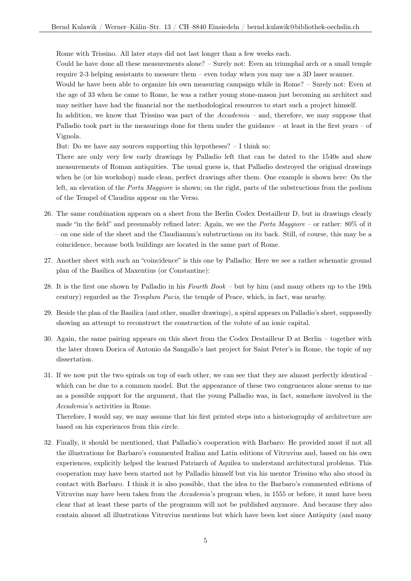Rome with Trissino. All later stays did not last longer than a few weeks each.

Could he have done all these measurements alone? – Surely not: Even an triumphal arch or a small temple require 2-3 helping assistants to measure them – even today when you may use a 3D laser scanner.

Would he have been able to organize his own measuring campaign while in Rome? – Surely not: Even at the age of 33 when he came to Rome, he was a rather young stone-mason just becoming an architect and may neither have had the financial nor the methodological resources to start such a project himself.

In addition, we know that Trissino was part of the *Accademia* – and, therefore, we may suppose that Palladio took part in the measurings done for them under the guidance – at least in the first years – of Vignola.

But: Do we have any sources supporting this hypotheses? – I think so:

There are only very few early drawings by Palladio left that can be dated to the 1540s and show measurements of Roman antiquities. The usual guess is, that Palladio destroyed the original drawings when he (or his workshop) made clean, perfect drawings after them. One example is shown here: On the left, an elevation of the *Porta Maggiore* is shown; on the right, parts of the substructions from the podium of the Tempel of Claudius appear on the Verso.

- 26. The same combination appears on a sheet from the Berlin Codex Destailleur D, but in drawings clearly made "in the field" and presumably refined later: Again, we see the *Porta Maggiore* – or rather: 80% of it – on one side of the sheet and the Claudianum's substructions on its back. Still, of course, this may be a coincidence, because both buildings are located in the same part of Rome.
- 27. Another sheet with such an "coincidence" is this one by Palladio: Here we see a rather schematic ground plan of the Basilica of Maxentius (or Constantine):
- 28. It is the first one shown by Palladio in his *Fourth Book* but by him (and many others up to the 19th century) regarded as the *Templum Pacis*, the temple of Peace, which, in fact, was nearby.
- 29. Beside the plan of the Basilica (and other, smaller drawings), a spiral appears on Palladio's sheet, supposedly showing an attempt to reconstruct the construction of the volute of an ionic capital.
- 30. Again, the same pairing appears on this sheet from the Codex Destailleur D at Berlin together with the later drawn Dorica of Antonio da Sangallo's last project for Saint Peter's in Rome, the topic of my dissertation.
- 31. If we now put the two spirals on top of each other, we can see that they are almost perfectly identical which can be due to a common model. But the appearance of these two congruences alone seems to me as a possible support for the argument, that the young Palladio was, in fact, somehow involved in the *Accademia*'s activities in Rome.

Therefore, I would say, we may assume that his first printed steps into a historiography of architecture are based on his experiences from this circle.

32. Finally, it should be mentioned, that Palladio's cooperation with Barbaro: He provided most if not all the illustrations for Barbaro's commented Italian and Latin editions of Vitruvius and, based on his own experiences, explicitly helped the learned Patriarch of Aquilea to understand architectural problems. This cooperation may have been started not by Palladio himself but via his mentor Trissino who also stood in contact with Barbaro. I think it is also possible, that the idea to the Barbaro's commented editions of Vitruvius may have been taken from the *Accademia*'s program when, in 1555 or before, it must have been clear that at least these parts of the programm will not be published anymore. And because they also contain almost all illustrations Vitruvius mentions but which have been lost since Antiquity (and many